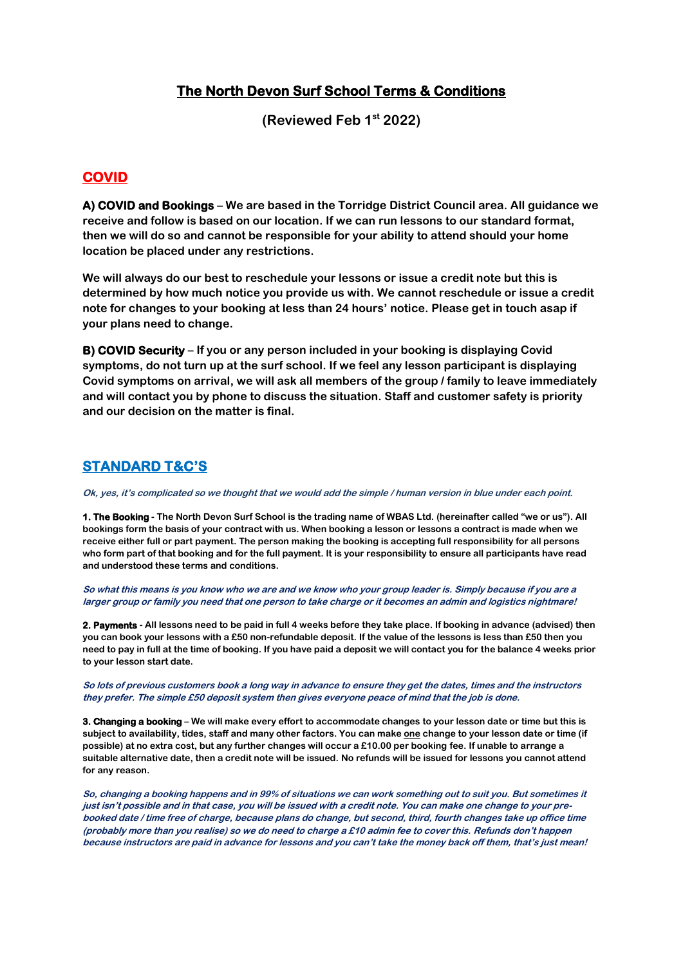## **The North Devon Surf School Terms & Conditions**

**(Reviewed Feb 1st 2022)**

## **COVID**

**A) COVID and Bookings – We are based in the Torridge District Council area. All guidance we receive and follow is based on our location. If we can run lessons to our standard format, then we will do so and cannot be responsible for your ability to attend should your home location be placed under any restrictions.** 

**We will always do our best to reschedule your lessons or issue a credit note but this is determined by how much notice you provide us with. We cannot reschedule or issue a credit note for changes to your booking at less than 24 hours' notice. Please get in touch asap if your plans need to change.**

**B) COVID Security – If you or any person included in your booking is displaying Covid symptoms, do not turn up at the surf school. If we feel any lesson participant is displaying Covid symptoms on arrival, we will ask all members of the group / family to leave immediately and will contact you by phone to discuss the situation. Staff and customer safety is priority and our decision on the matter is final.**

## **STANDARD T&C'S**

**Ok, yes, it's complicated so we thought that we would add the simple / human version in blue under each point.**

**1. The Booking - The North Devon Surf School is the trading name of WBAS Ltd. (hereinafter called "we or us"). All bookings form the basis of your contract with us. When booking a lesson or lessons a contract is made when we receive either full or part payment. The person making the booking is accepting full responsibility for all persons who form part of that booking and for the full payment. It is your responsibility to ensure all participants have read and understood these terms and conditions.**

**So what this means is you know who we are and we know who your group leader is. Simply because if you are a larger group or family you need that one person to take charge or it becomes an admin and logistics nightmare!**

**2. Payments - All lessons need to be paid in full 4 weeks before they take place. If booking in advance (advised) then you can book your lessons with a £50 non-refundable deposit. If the value of the lessons is less than £50 then you need to pay in full at the time of booking. If you have paid a deposit we will contact you for the balance 4 weeks prior to your lesson start date.**

**So lots of previous customers book a long way in advance to ensure they get the dates, times and the instructors they prefer. The simple £50 deposit system then gives everyone peace of mind that the job is done.** 

**3. Changing a booking – We will make every effort to accommodate changes to your lesson date or time but this is**  subject to availability, tides, staff and many other factors. You can make one change to your lesson date or time (if **possible) at no extra cost, but any further changes will occur a £10.00 per booking fee. If unable to arrange a suitable alternative date, then a credit note will be issued. No refunds will be issued for lessons you cannot attend for any reason.**

**So, changing a booking happens and in 99% of situations we can work something out to suit you. But sometimes it just isn't possible and in that case, you will be issued with a credit note. You can make one change to your prebooked date / time free of charge, because plans do change, but second, third, fourth changes take up office time (probably more than you realise) so we do need to charge a £10 admin fee to cover this. Refunds don't happen because instructors are paid in advance for lessons and you can't take the money back off them, that's just mean!**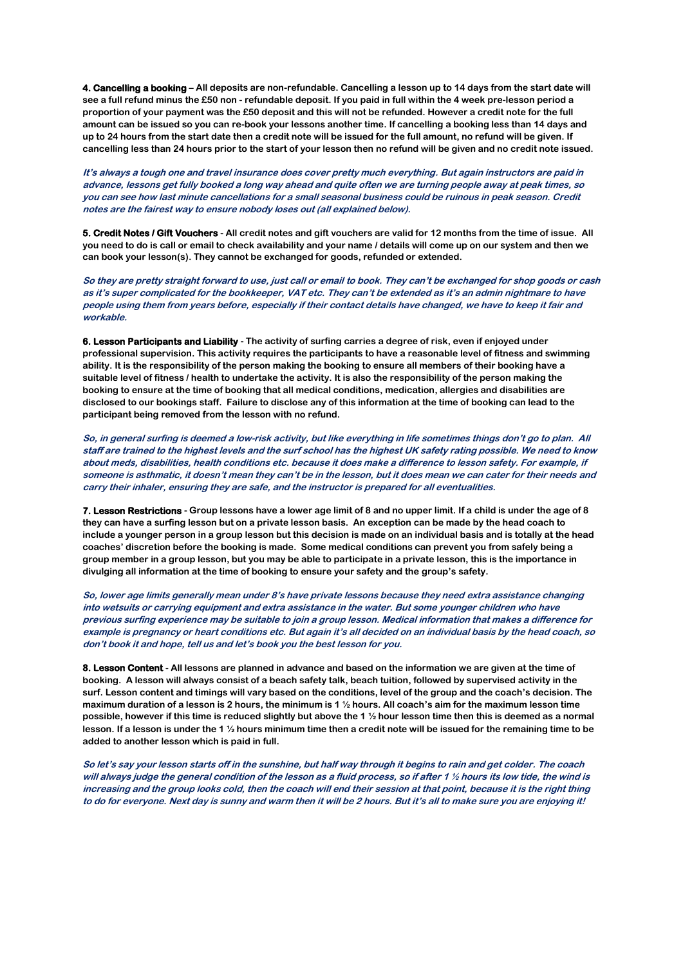**4. Cancelling a booking – All deposits are non-refundable. Cancelling a lesson up to 14 days from the start date will see a full refund minus the £50 non - refundable deposit. If you paid in full within the 4 week pre-lesson period a proportion of your payment was the £50 deposit and this will not be refunded. However a credit note for the full amount can be issued so you can re-book your lessons another time. If cancelling a booking less than 14 days and up to 24 hours from the start date then a credit note will be issued for the full amount, no refund will be given. If cancelling less than 24 hours prior to the start of your lesson then no refund will be given and no credit note issued.**

**It's always a tough one and travel insurance does cover pretty much everything. But again instructors are paid in advance, lessons get fully booked a long way ahead and quite often we are turning people away at peak times, so you can see how last minute cancellations for a small seasonal business could be ruinous in peak season. Credit notes are the fairest way to ensure nobody loses out (all explained below).**

**5. Credit Notes / Gift Vouchers - All credit notes and gift vouchers are valid for 12 months from the time of issue. All you need to do is call or email to check availability and your name / details will come up on our system and then we can book your lesson(s). They cannot be exchanged for goods, refunded or extended.**

**So they are pretty straight forward to use, just call or email to book. They can't be exchanged for shop goods or cash as it's super complicated for the bookkeeper, VAT etc. They can't be extended as it's an admin nightmare to have people using them from years before, especially if their contact details have changed, we have to keep it fair and workable.**

**6. Lesson Participants and Liability - The activity of surfing carries a degree of risk, even if enjoyed under professional supervision. This activity requires the participants to have a reasonable level of fitness and swimming ability. It is the responsibility of the person making the booking to ensure all members of their booking have a suitable level of fitness / health to undertake the activity. It is also the responsibility of the person making the booking to ensure at the time of booking that all medical conditions, medication, allergies and disabilities are disclosed to our bookings staff. Failure to disclose any of this information at the time of booking can lead to the participant being removed from the lesson with no refund.**

**So, in general surfing is deemed a low-risk activity, but like everything in life sometimes things don't go to plan. All staff are trained to the highest levels and the surf school has the highest UK safety rating possible. We need to know about meds, disabilities, health conditions etc. because it does make a difference to lesson safety. For example, if someone is asthmatic, it doesn't mean they can't be in the lesson, but it does mean we can cater for their needs and carry their inhaler, ensuring they are safe, and the instructor is prepared for all eventualities.** 

**7. Lesson Restrictions - Group lessons have a lower age limit of 8 and no upper limit. If a child is under the age of 8 they can have a surfing lesson but on a private lesson basis. An exception can be made by the head coach to include a younger person in a group lesson but this decision is made on an individual basis and is totally at the head coaches' discretion before the booking is made. Some medical conditions can prevent you from safely being a group member in a group lesson, but you may be able to participate in a private lesson, this is the importance in divulging all information at the time of booking to ensure your safety and the group's safety.**

**So, lower age limits generally mean under 8's have private lessons because they need extra assistance changing into wetsuits or carrying equipment and extra assistance in the water. But some younger children who have previous surfing experience may be suitable to join a group lesson. Medical information that makes a difference for example is pregnancy or heart conditions etc. But again it's all decided on an individual basis by the head coach, so don't book it and hope, tell us and let's book you the best lesson for you.**

**8. Lesson Content - All lessons are planned in advance and based on the information we are given at the time of booking. A lesson will always consist of a beach safety talk, beach tuition, followed by supervised activity in the surf. Lesson content and timings will vary based on the conditions, level of the group and the coach's decision. The maximum duration of a lesson is 2 hours, the minimum is 1 ½ hours. All coach's aim for the maximum lesson time possible, however if this time is reduced slightly but above the 1 ½ hour lesson time then this is deemed as a normal lesson. If a lesson is under the 1 ½ hours minimum time then a credit note will be issued for the remaining time to be added to another lesson which is paid in full.**

**So let's say your lesson starts off in the sunshine, but half way through it begins to rain and get colder. The coach will always judge the general condition of the lesson as a fluid process, so if after 1 ½ hours its low tide, the wind is increasing and the group looks cold, then the coach will end their session at that point, because it is the right thing to do for everyone. Next day is sunny and warm then it will be 2 hours. But it's all to make sure you are enjoying it!**